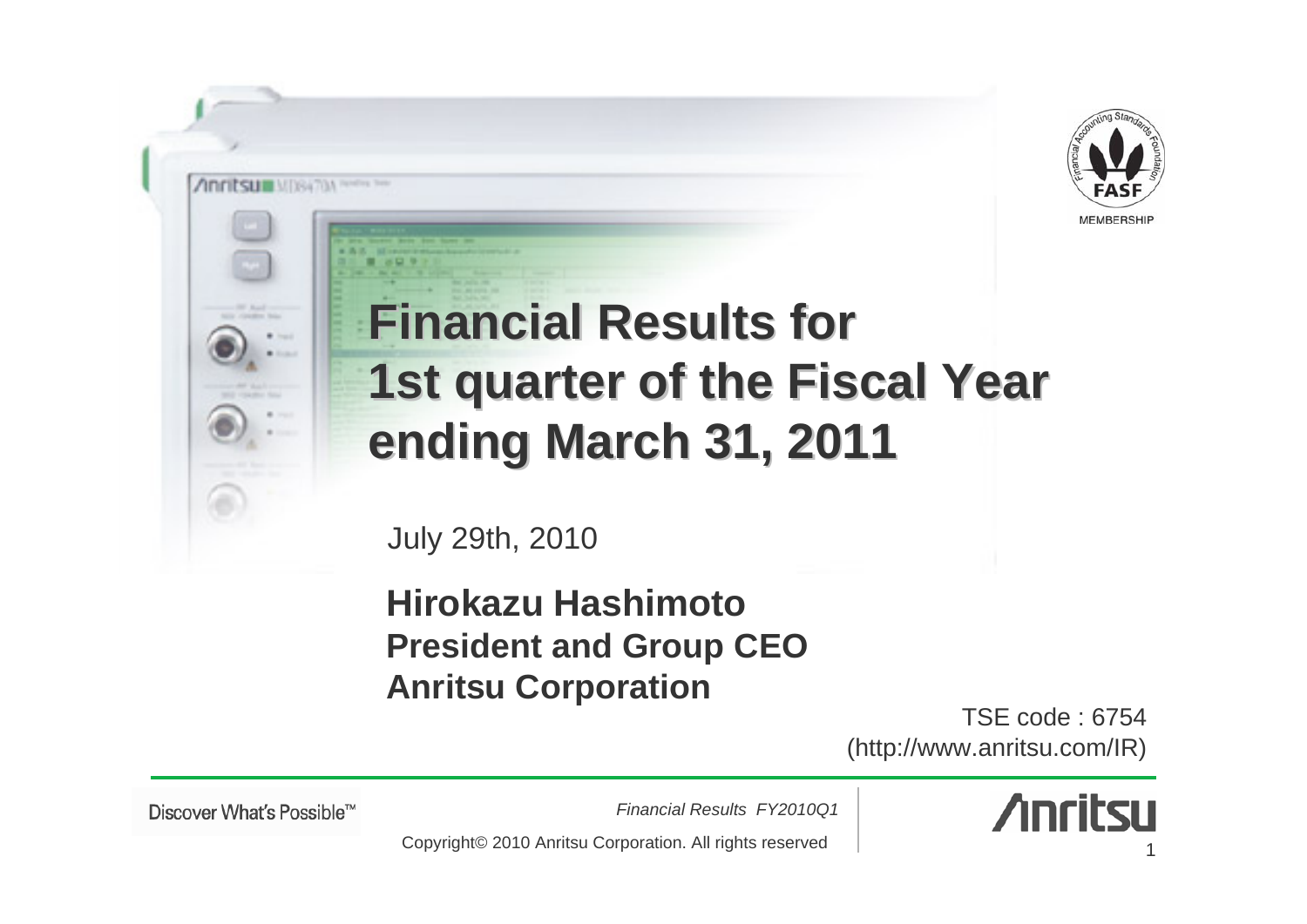

# **Financial Results for 1st quarter of the Fiscal Year ending March 31, 20 ending March 31, 2011**

July 29th, 2010

#### **Hirokazu HashimotoPresident and Group CEO Anritsu Corporation**

TSE code : 6754(http://www.anritsu.com/IR)

Discover What's Possible™

**Annitsum** MISSING New York

*Financial Results FY2010Q1*



Copyright© 2010 Anritsu Corporation. All rights reserved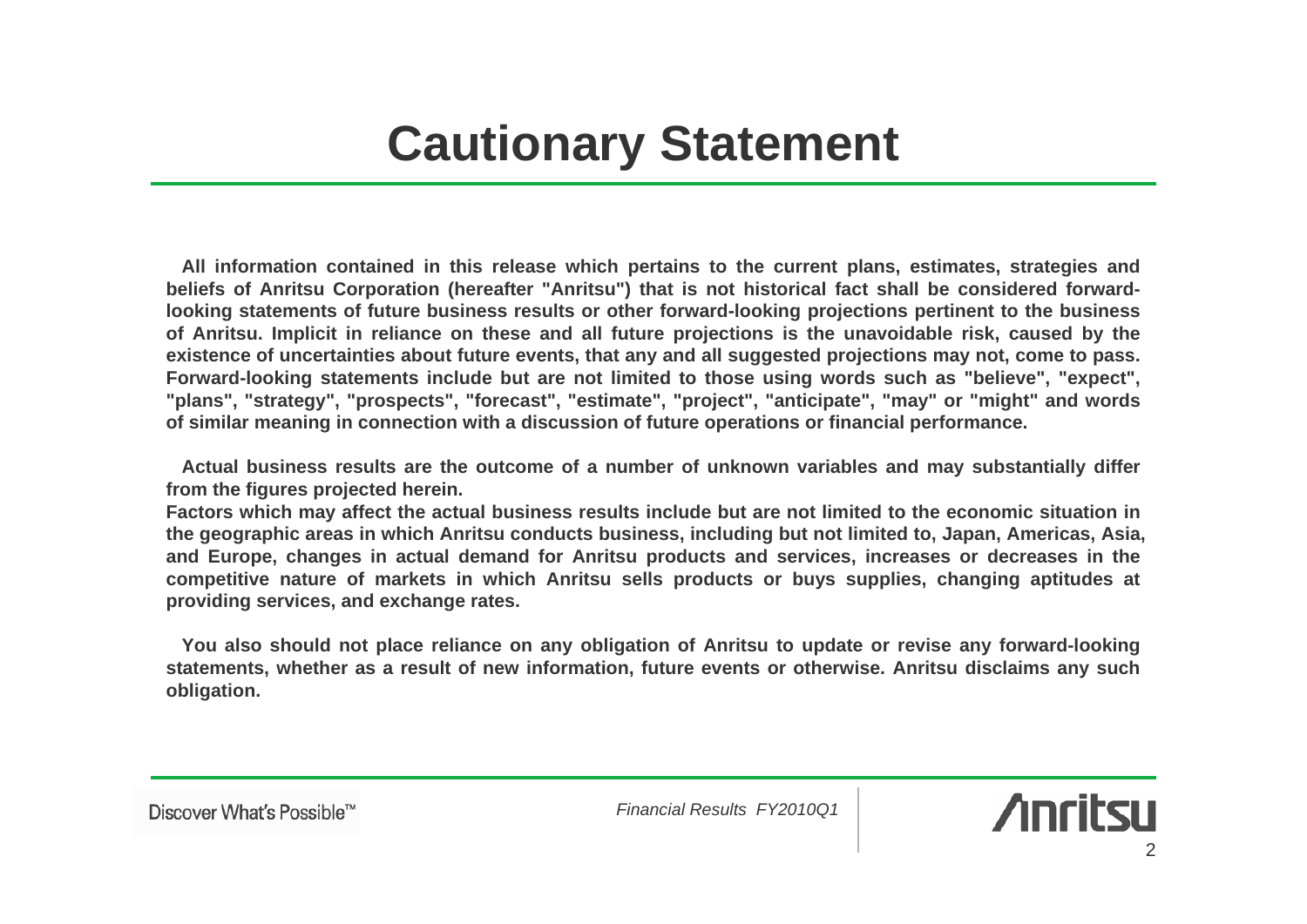## **Cautionary Statement**

**All information contained in this release which pertains to the current plans, estimates, strategies and beliefs of Anritsu Corporation (hereafter "Anritsu") that is not historical fact shall be considered forwardlooking statements of future business results or other forward-looking projections pertinent to the business of Anritsu. Implicit in reliance on these and all future projections is the unavoidable risk, caused by the existence of uncertainties about future events, that any and all suggested projections may not, come to pass. Forward-looking statements include but are not limited to those using words such as "believe", "expect", "plans", "strategy", "prospects", "forecast", "estimate", "project", "anticipate", "may" or "might" and words of similar meaning in connection with a discussion of future operations or financial performance.**

**Actual business results are the outcome of a number of unknown variables and may substantially differ from the figures projected herein.**

**Factors which may affect the actual business results include but are not limited to the economic situation in the geographic areas in which Anritsu conducts business, including but not limited to, Japan, Americas, Asia, and Europe, changes in actual demand for Anritsu products and services, increases or decreases in the competitive nature of markets in which Anritsu sells products or buys supplies, changing aptitudes at providing services, and exchange rates.**

**You also should not place reliance on any obligation of Anritsu to update or revise any forward-looking statements, whether as a result of new information, future events or otherwise. Anritsu disclaims any such obligation.** 

**Anritsu**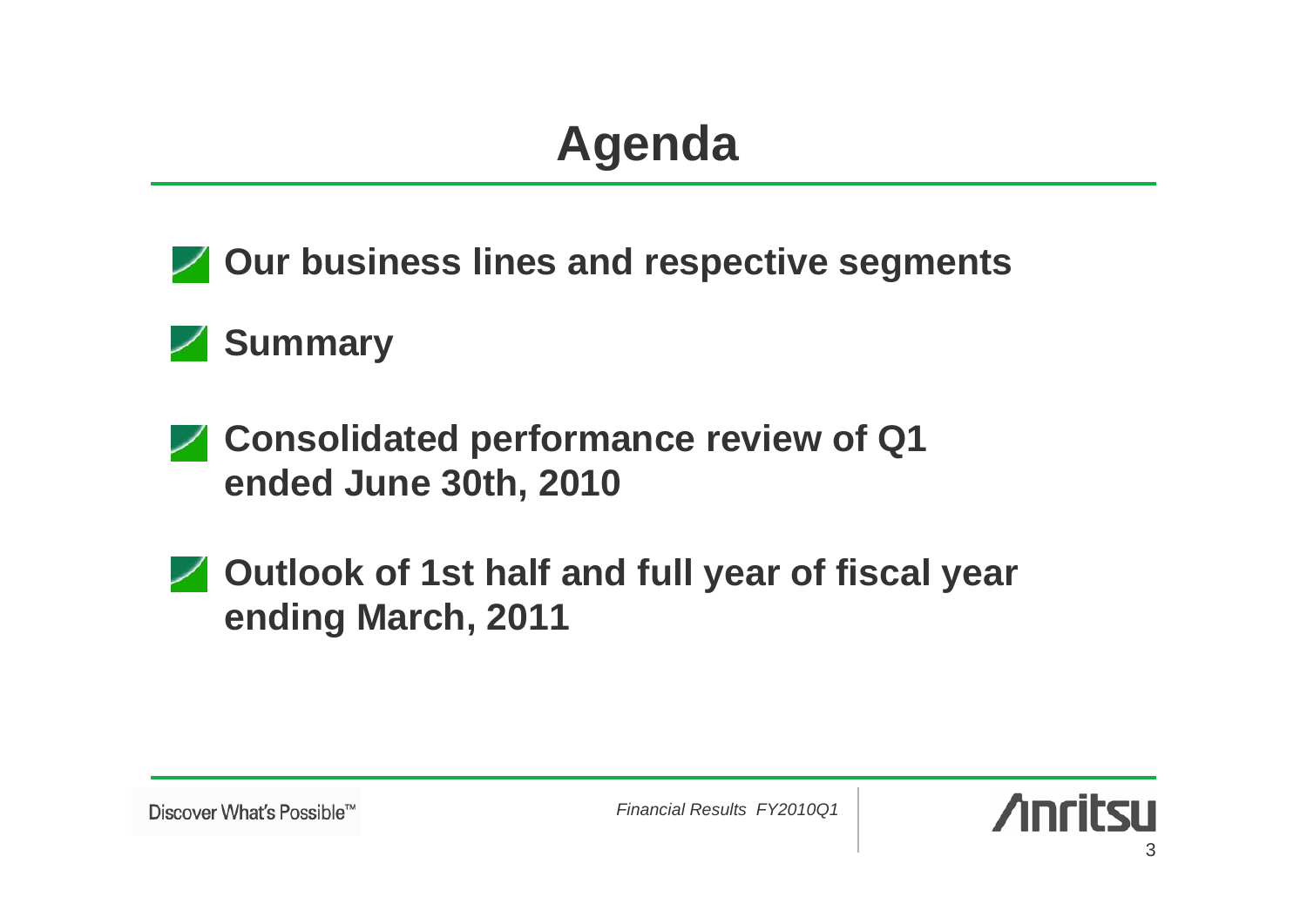# **Agenda**



#### **Summary**

- **Consolidated performance review of Q1 ended June 30th, 2010**
- **Z** Outlook of 1st half and full year of fiscal year **ending March, 2011**

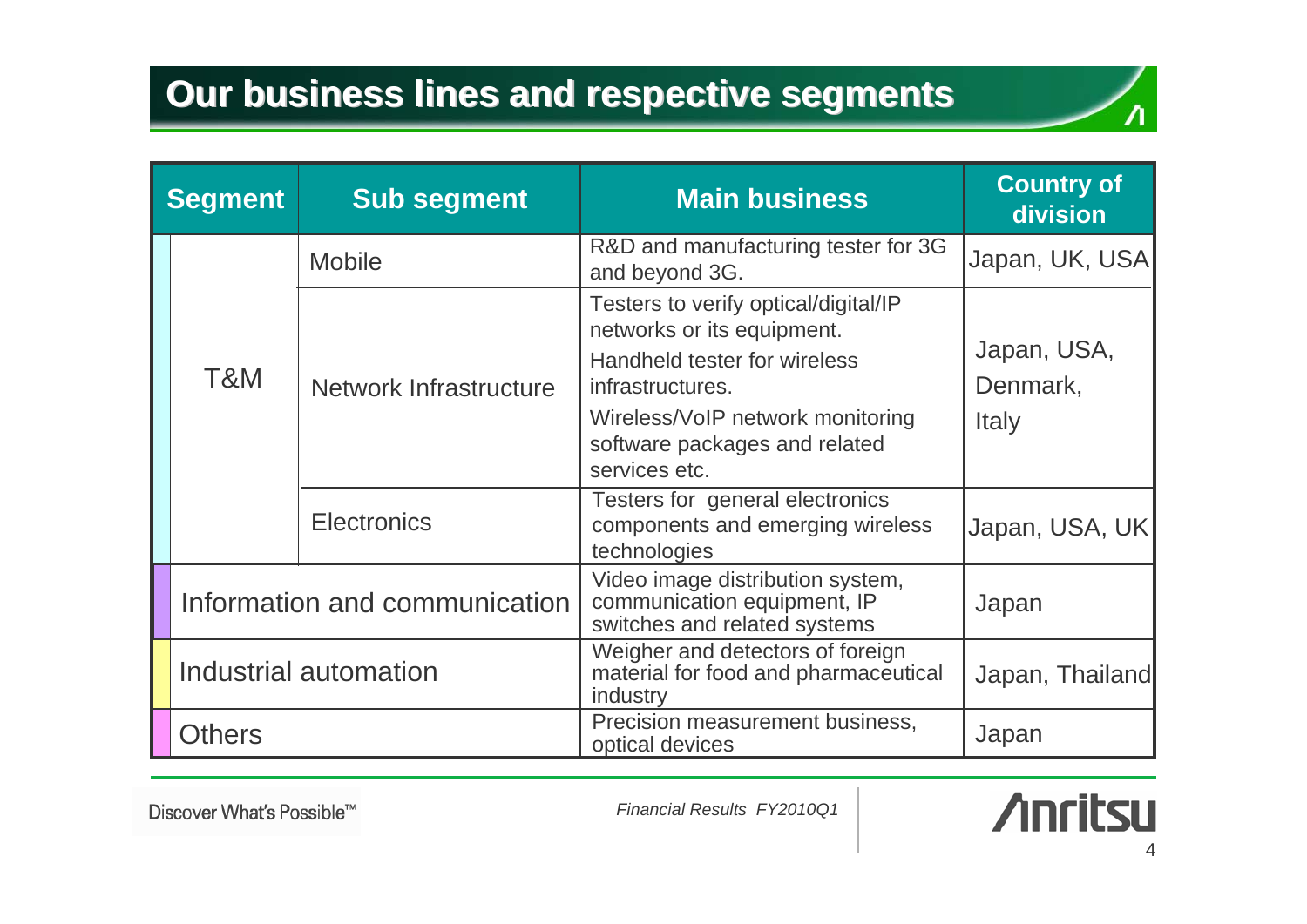| <b>Segment</b>        |                               | <b>Sub segment</b>     | <b>Main business</b>                                                                                                                                                                                         | <b>Country of</b><br><b>division</b>    |  |
|-----------------------|-------------------------------|------------------------|--------------------------------------------------------------------------------------------------------------------------------------------------------------------------------------------------------------|-----------------------------------------|--|
|                       |                               | <b>Mobile</b>          | R&D and manufacturing tester for 3G<br>and beyond 3G.                                                                                                                                                        | Japan, UK, USA                          |  |
|                       | T&M                           | Network Infrastructure | Testers to verify optical/digital/IP<br>networks or its equipment.<br>Handheld tester for wireless<br>infrastructures.<br>Wireless/VoIP network monitoring<br>software packages and related<br>services etc. | Japan, USA,<br>Denmark,<br><b>Italy</b> |  |
|                       |                               | <b>Electronics</b>     | Testers for general electronics<br>components and emerging wireless<br>technologies                                                                                                                          | Japan, USA, UK                          |  |
|                       | Information and communication |                        | Video image distribution system,<br>communication equipment, IP<br>switches and related systems                                                                                                              | Japan                                   |  |
| Industrial automation |                               |                        | Weigher and detectors of foreign<br>material for food and pharmaceutical<br>industry                                                                                                                         | Japan, Thailand                         |  |
| <b>Others</b>         |                               |                        | Precision measurement business,<br>optical devices                                                                                                                                                           | Japan                                   |  |

Discover What's Possible™

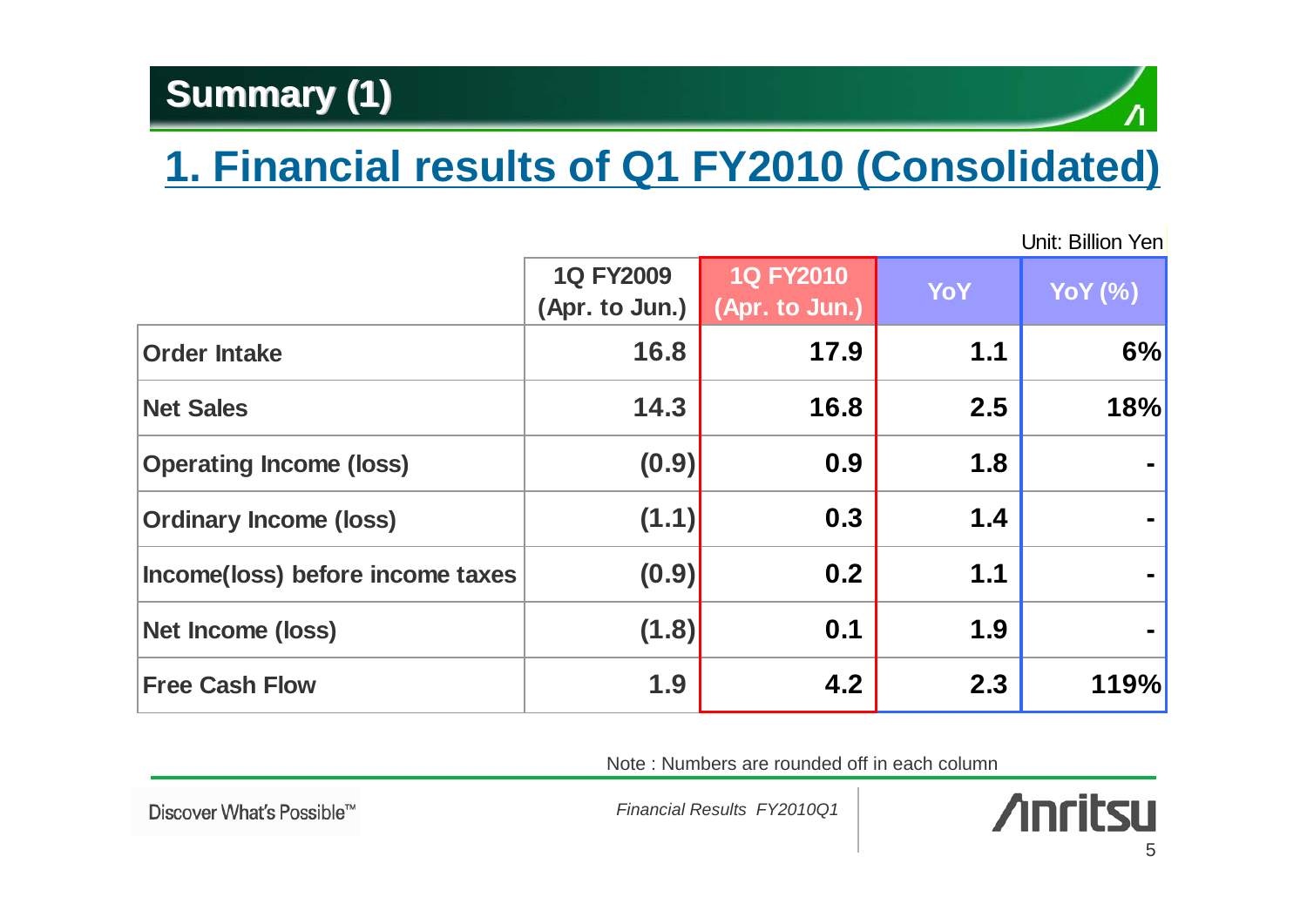#### **Summary (1) Summary (1)**

## **1. Financial results of Q1 FY2010 (Consolidated)**

Unit: Billion Yen

|                                  | <b>1Q FY2009</b><br>(Apr. to Jun.) | <b>1Q FY2010</b><br>(Apr. to Jun.) | <b>YoY</b> | <b>YoY</b> (%) |
|----------------------------------|------------------------------------|------------------------------------|------------|----------------|
| <b>Order Intake</b>              | 16.8                               | 17.9                               | 1.1        | 6%             |
| <b>Net Sales</b>                 | 14.3                               | 16.8                               | 2.5        | 18%            |
| <b>Operating Income (loss)</b>   | (0.9)                              | 0.9                                | 1.8        |                |
| <b>Ordinary Income (loss)</b>    | (1.1)                              | 0.3                                | 1.4        |                |
| Income(loss) before income taxes | (0.9)                              | 0.2                                | 1.1        |                |
| Net Income (loss)                | (1.8)                              | 0.1                                | 1.9        |                |
| <b>Free Cash Flow</b>            | 1.9                                | 4.2                                | 2.3        | 119%           |

Note : Numbers are rounded off in each column

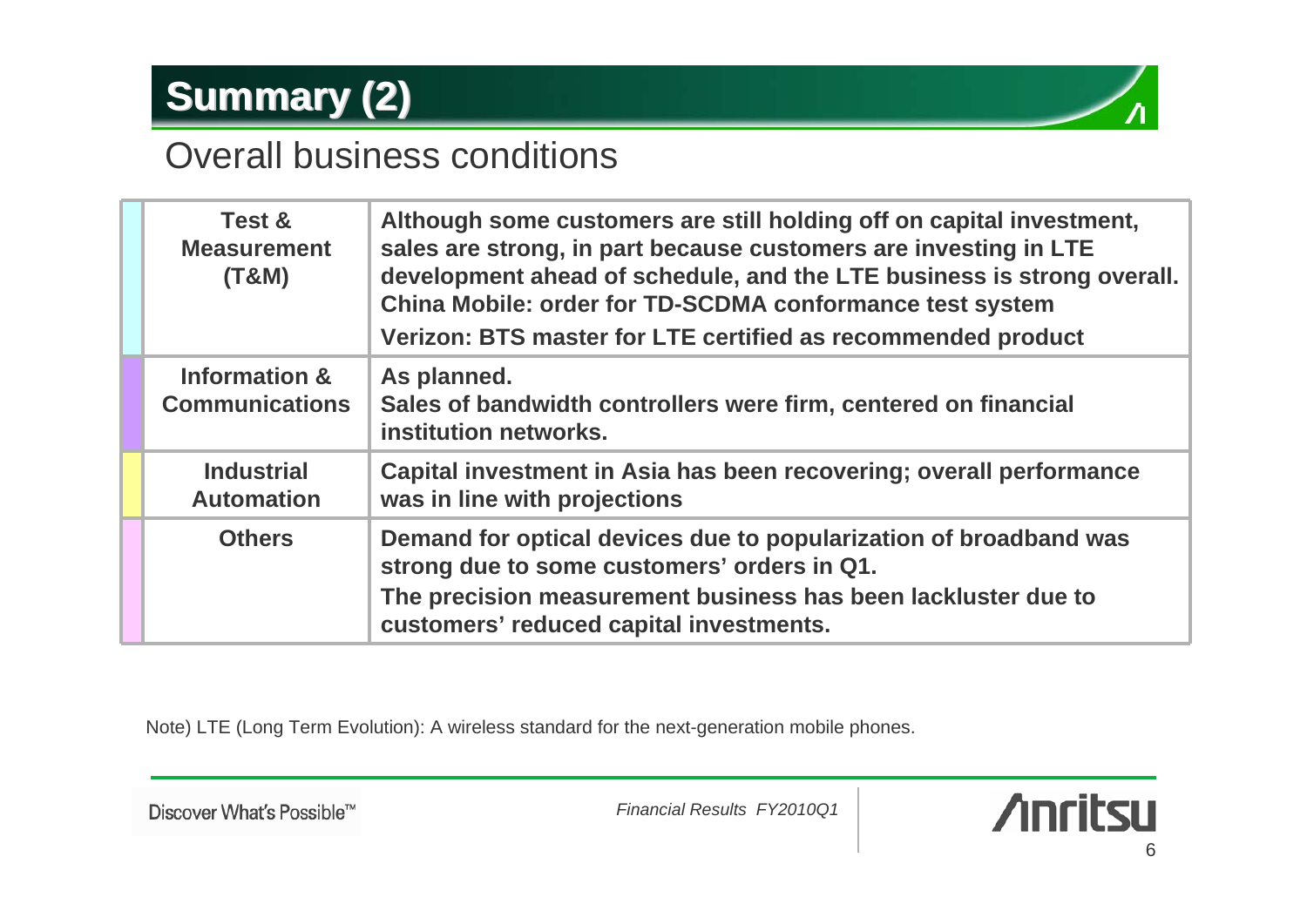### **Summary (2) Summary (2)**

#### Overall business conditions

| Test &<br><b>Measurement</b><br>(T&M)  | Although some customers are still holding off on capital investment,<br>sales are strong, in part because customers are investing in LTE<br>development ahead of schedule, and the LTE business is strong overall.<br>China Mobile: order for TD-SCDMA conformance test system<br>Verizon: BTS master for LTE certified as recommended product |
|----------------------------------------|------------------------------------------------------------------------------------------------------------------------------------------------------------------------------------------------------------------------------------------------------------------------------------------------------------------------------------------------|
| Information &<br><b>Communications</b> | As planned.<br>Sales of bandwidth controllers were firm, centered on financial<br>institution networks.                                                                                                                                                                                                                                        |
| <b>Industrial</b><br><b>Automation</b> | Capital investment in Asia has been recovering; overall performance<br>was in line with projections                                                                                                                                                                                                                                            |
| <b>Others</b>                          | Demand for optical devices due to popularization of broadband was<br>strong due to some customers' orders in Q1.<br>The precision measurement business has been lackluster due to<br>customers' reduced capital investments.                                                                                                                   |

Note) LTE (Long Term Evolution): A wireless standard for the next-generation mobile phones.

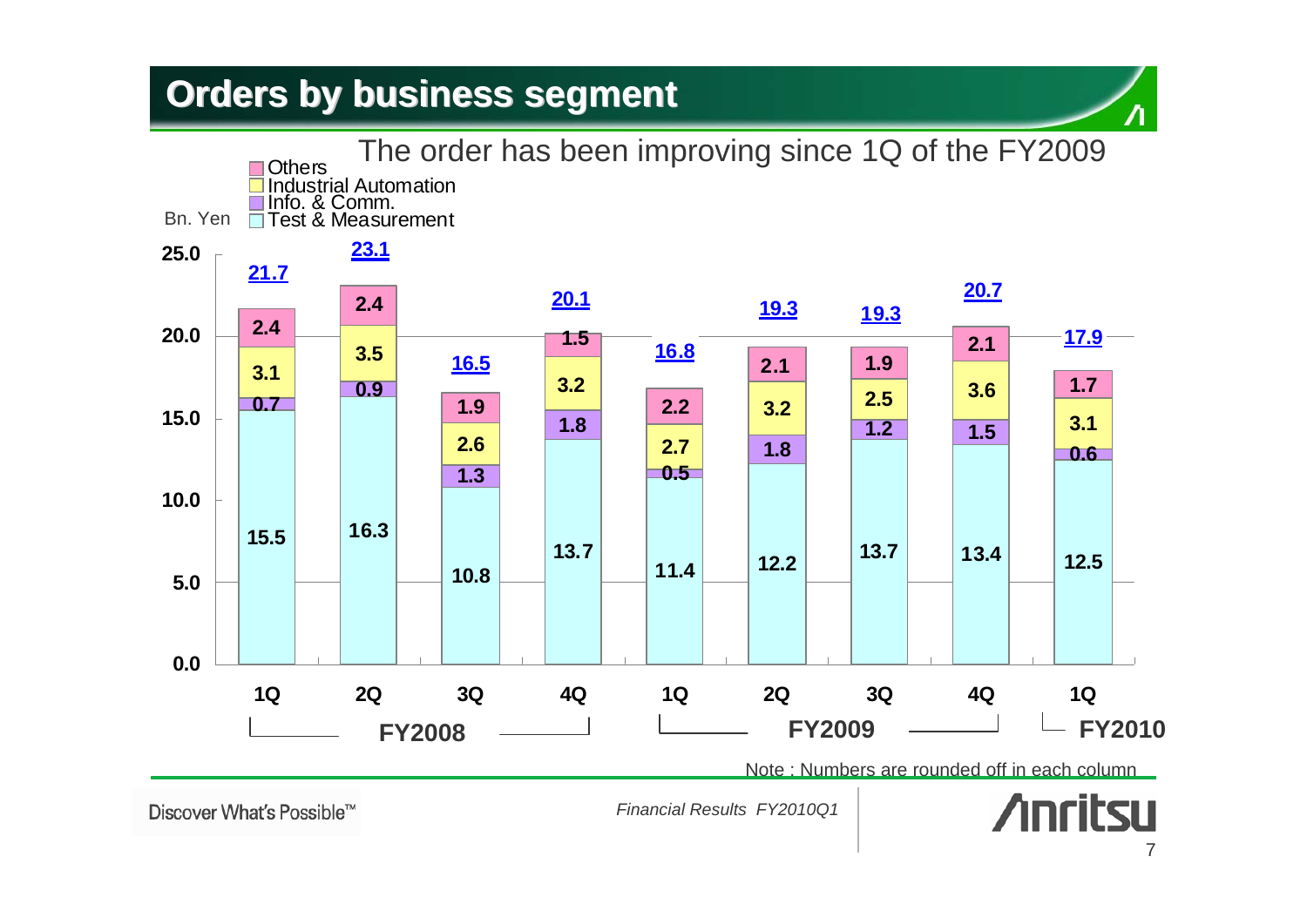#### **Orders by business segment Orders by business segment**



Discover What's Possible™

*Financial Results FY2010Q1*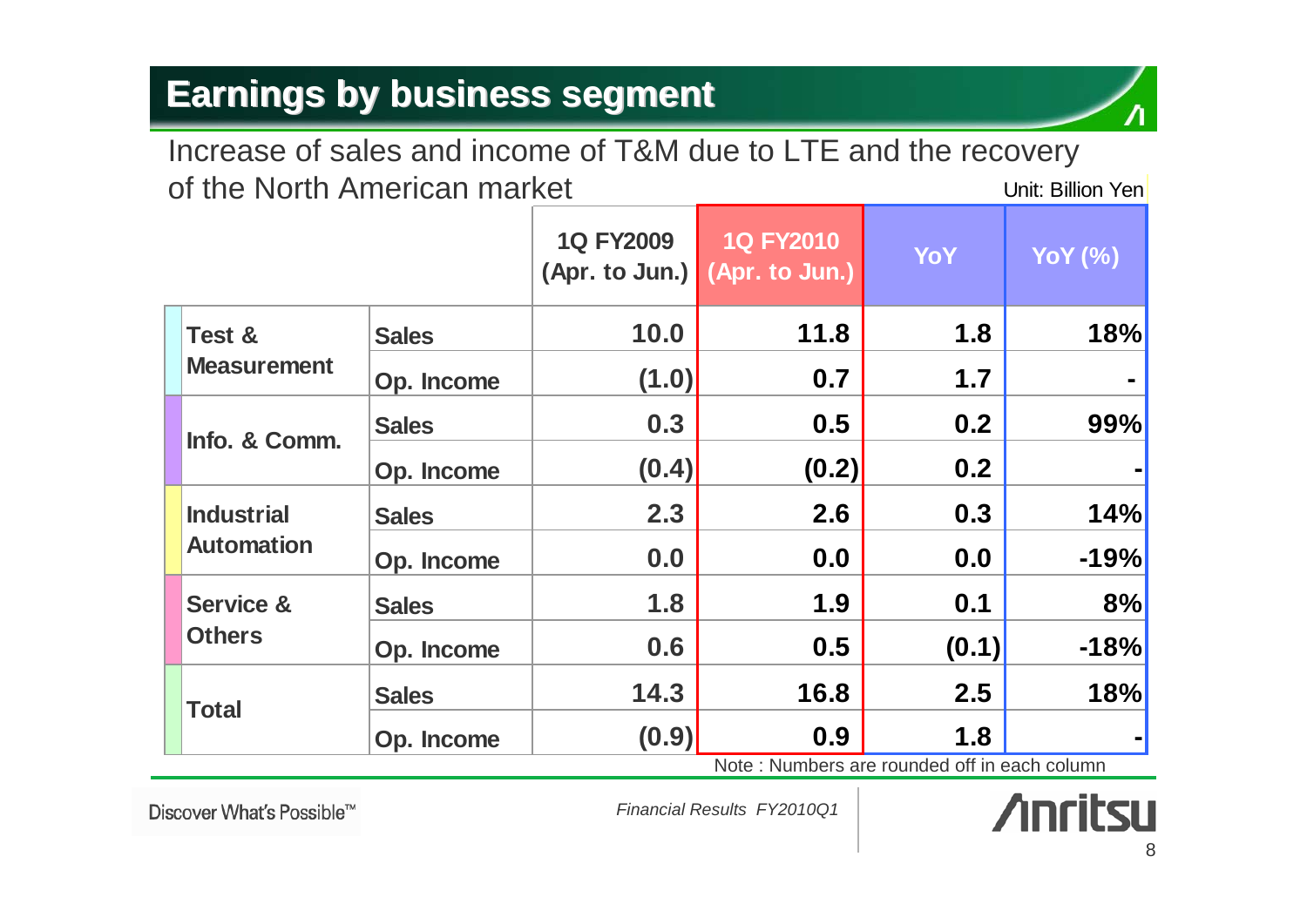#### Unit: Billion YenIncrease of sales and income of T&M due to LTE and the recovery of the North American market

|                      |              | <b>1Q FY2009</b> | <b>1Q FY2010</b><br>(Apr. to Jun.) (Apr. to Jun.) | YoY   | <b>YoY</b> (%)                                      |
|----------------------|--------------|------------------|---------------------------------------------------|-------|-----------------------------------------------------|
| Test &               | <b>Sales</b> | 10.0             | 11.8                                              | 1.8   | 18%                                                 |
| <b>Measurement</b>   | Op. Income   | (1.0)            | 0.7                                               | 1.7   |                                                     |
|                      | <b>Sales</b> | 0.3              | 0.5                                               | 0.2   | 99%                                                 |
| Info. & Comm.        | Op. Income   | (0.4)            | (0.2)                                             | 0.2   |                                                     |
| <b>Industrial</b>    | <b>Sales</b> | 2.3              | 2.6                                               | 0.3   | 14%                                                 |
| <b>Automation</b>    | Op. Income   | 0.0              | 0.0                                               | 0.0   | $-19%$                                              |
| <b>Service &amp;</b> | <b>Sales</b> | 1.8              | 1.9                                               | 0.1   | 8%                                                  |
| <b>Others</b>        | Op. Income   | 0.6              | 0.5                                               | (0.1) | $-18%$                                              |
| <b>Total</b>         | <b>Sales</b> | 14.3             | 16.8                                              | 2.5   | 18%<br>وممرورا مرمز بمالم وتمرينا فكمرام والمسترومة |
|                      | Op. Income   | (0.9)            | 0.9<br>National National Contract                 | 1.8   |                                                     |

Note : Numbers are rounded off in each column

Discover What's Possible™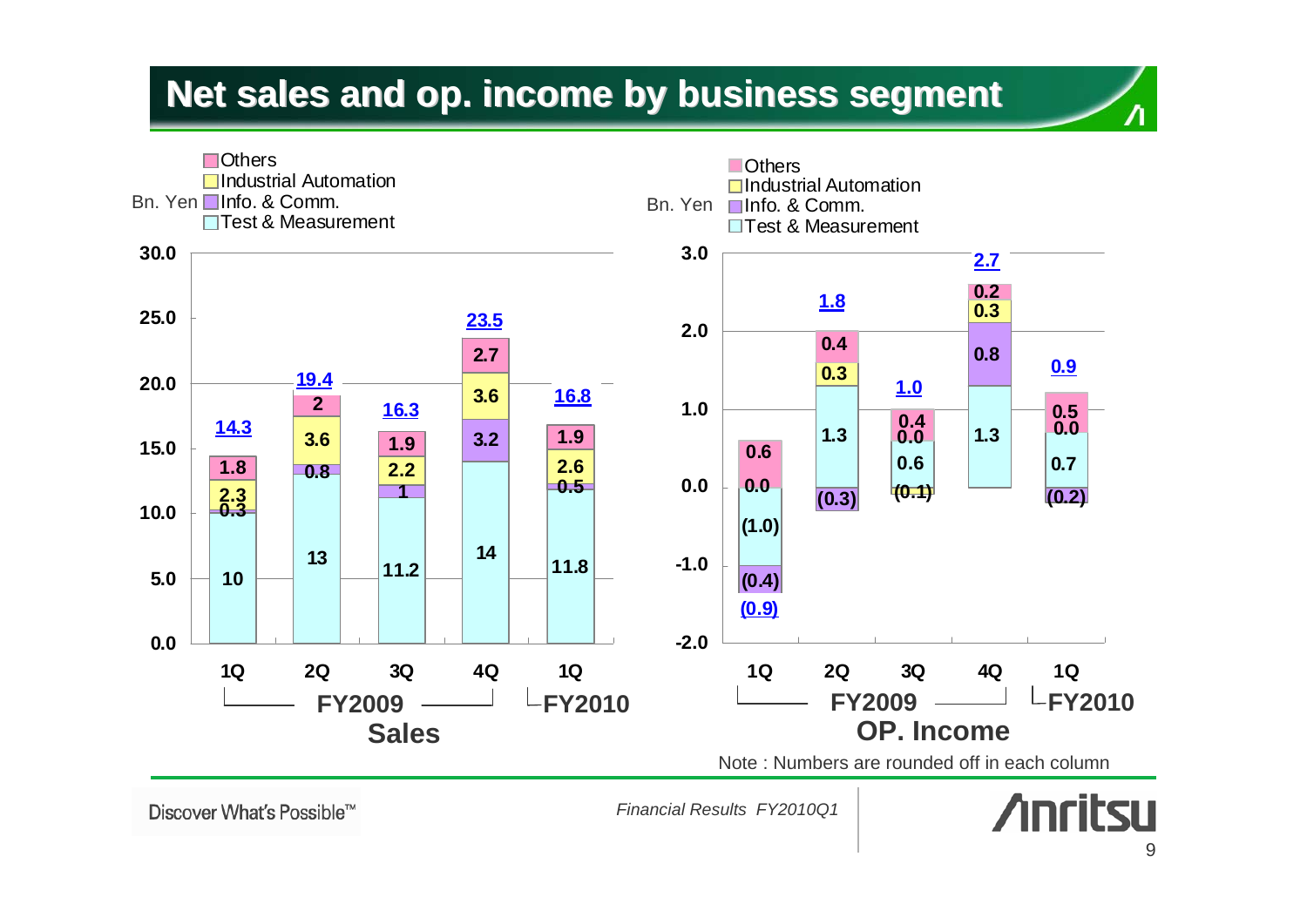#### **Net sales and op. income by business segment Net sales and op. income by business segment**



*Financial Results FY2010Q1*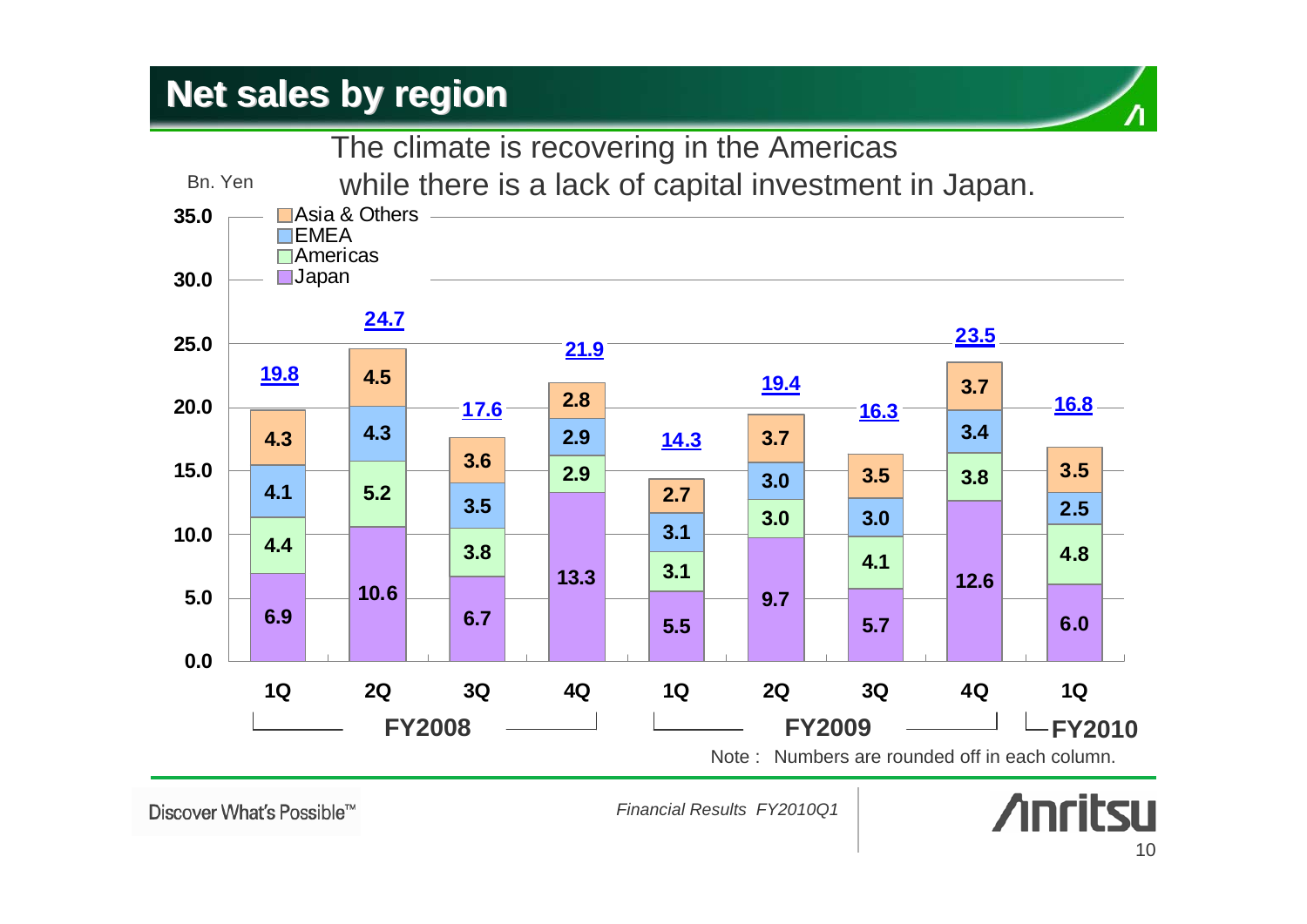#### **Net sales by region Net sales by region**





Discover What's Possible™

*Financial Results FY2010Q1*

## **Anritsu**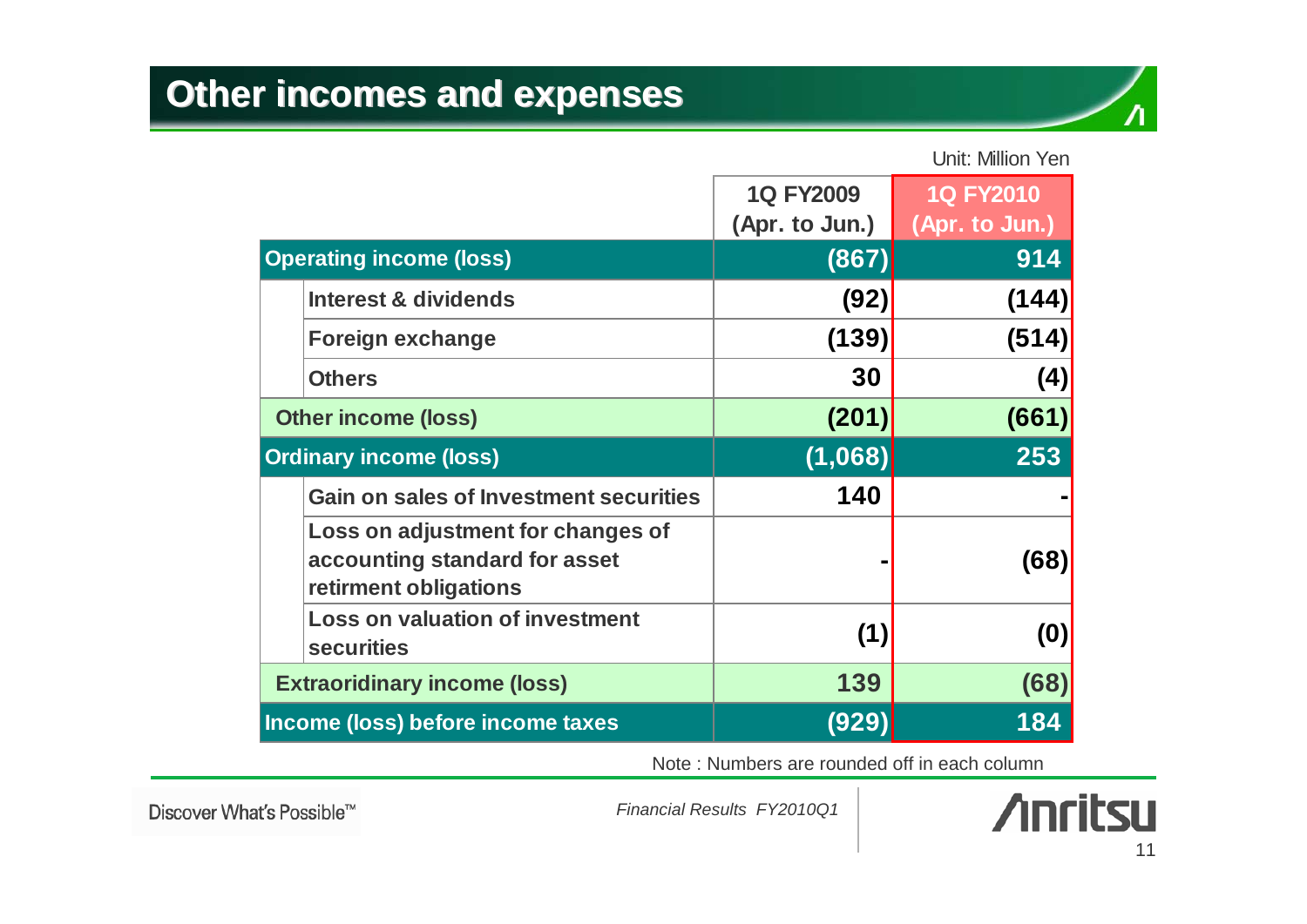

#### Unit: Million Yen

|                                                                                             | <b>1Q FY2009</b><br>(Apr. to Jun.) | <b>1Q FY2010</b><br>(Apr. to Jun.) |
|---------------------------------------------------------------------------------------------|------------------------------------|------------------------------------|
| <b>Operating income (loss)</b>                                                              | (867)                              | 914                                |
| <b>Interest &amp; dividends</b>                                                             | (92)                               | (144)                              |
| <b>Foreign exchange</b>                                                                     | (139)                              | (514)                              |
| <b>Others</b>                                                                               | 30                                 | (4)                                |
| <b>Other income (loss)</b>                                                                  | (201)                              | (661)                              |
| <b>Ordinary income (loss)</b>                                                               | (1,068)                            | 253                                |
| <b>Gain on sales of Investment securities</b>                                               | 140                                |                                    |
| Loss on adjustment for changes of<br>accounting standard for asset<br>retirment obligations |                                    | (68)                               |
| <b>Loss on valuation of investment</b><br><b>securities</b>                                 | (1)                                | (0)                                |
| <b>Extraoridinary income (loss)</b>                                                         | 139                                | (68)                               |
| Income (loss) before income taxes                                                           | (929)                              | 184                                |

Note : Numbers are rounded off in each column

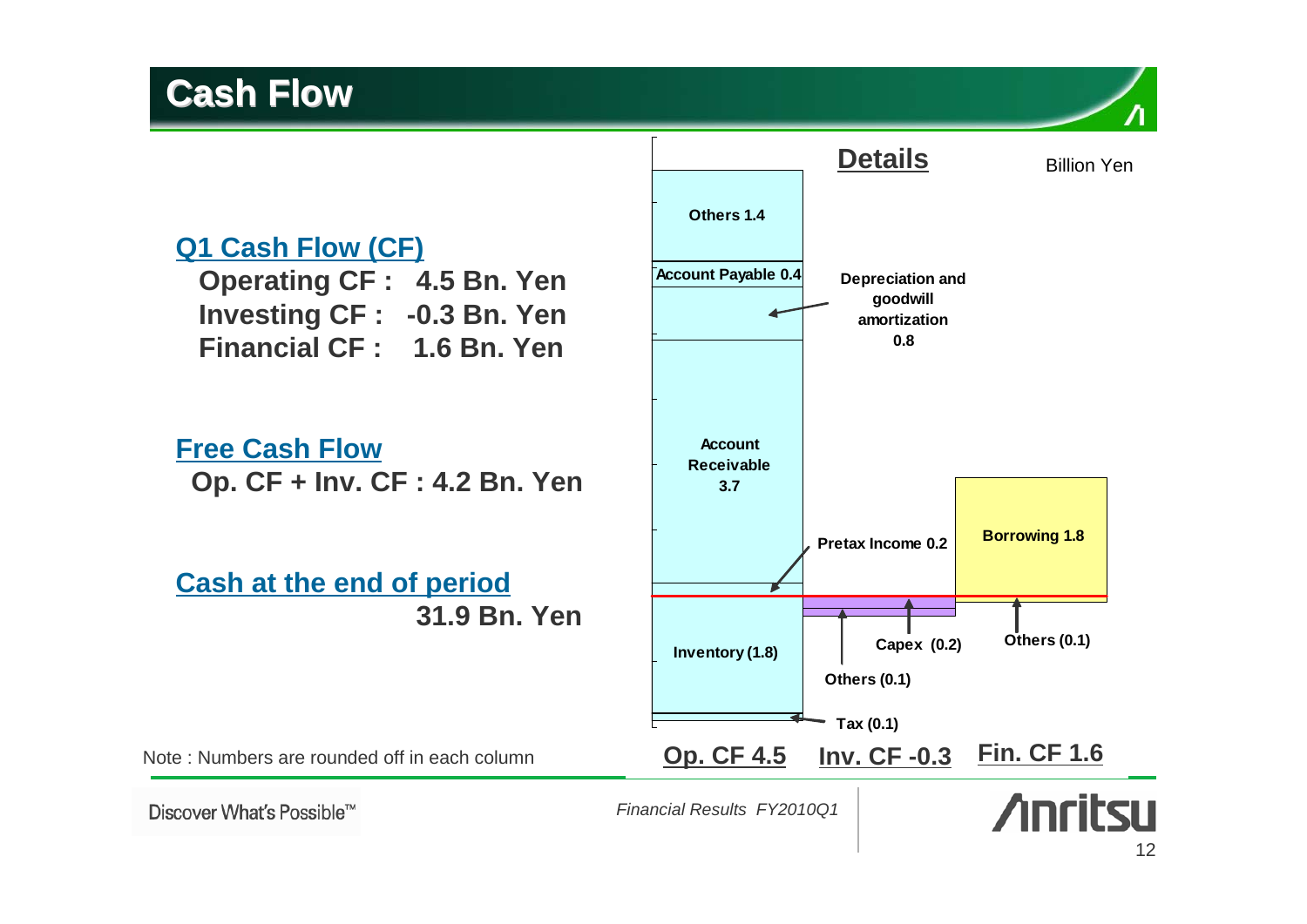#### **Cash Flow Cash Flow**

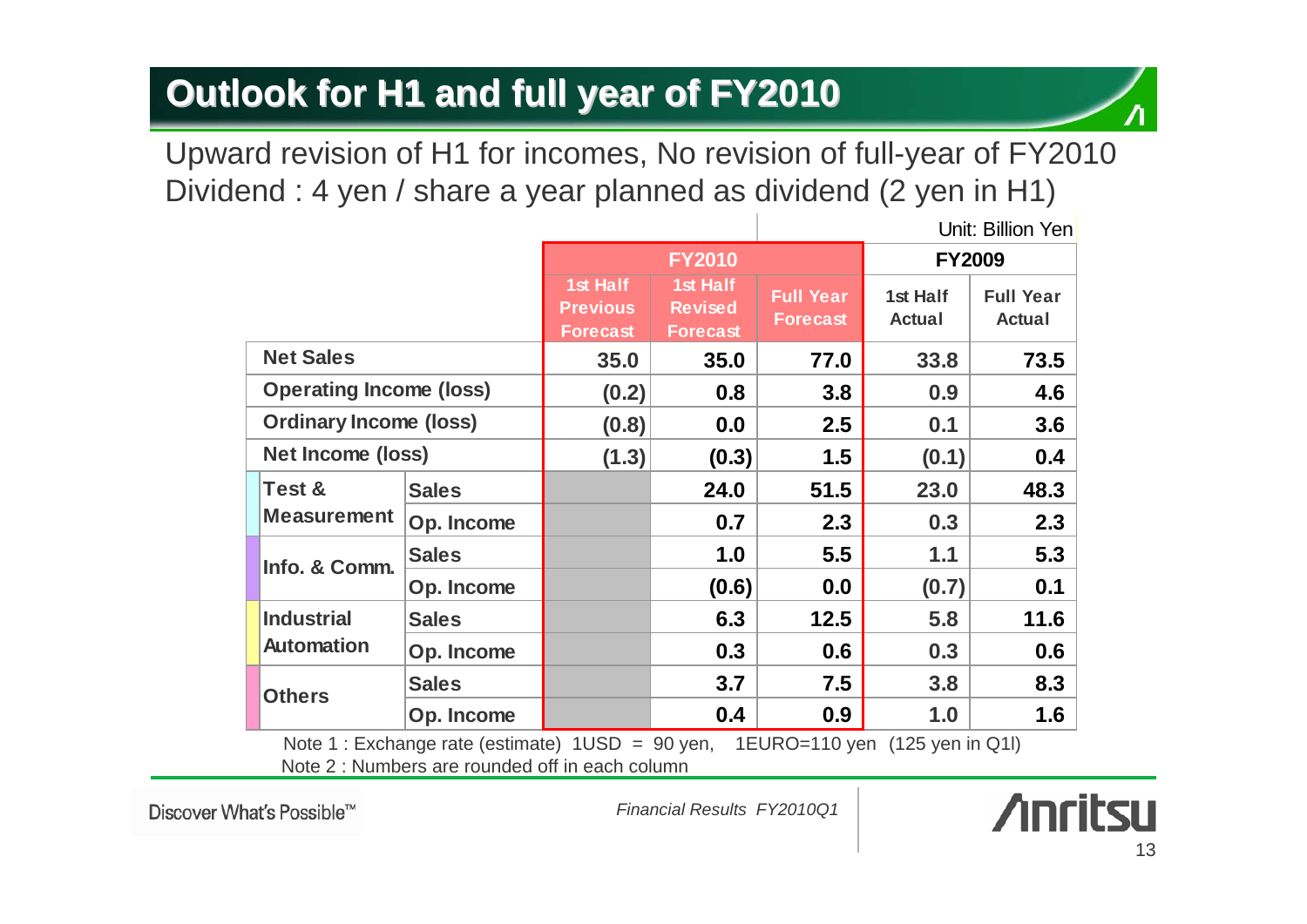#### **Outlook for H1 and full year of FY2010 Outlook for H1 and full year of FY2010**

Upward revision of H1 for incomes, No revision of full-year of FY2010 Dividend : 4 yen / share a year planned as dividend (2 yen in H1)

|                                |              |                                                |                                               |                                     | Unit: Billion Yen         |                                   |
|--------------------------------|--------------|------------------------------------------------|-----------------------------------------------|-------------------------------------|---------------------------|-----------------------------------|
|                                |              | <b>FY2010</b>                                  |                                               | <b>FY2009</b>                       |                           |                                   |
|                                |              | 1st Half<br><b>Previous</b><br><b>Forecast</b> | 1st Half<br><b>Revised</b><br><b>Forecast</b> | <b>Full Year</b><br><b>Forecast</b> | 1st Half<br><b>Actual</b> | <b>Full Year</b><br><b>Actual</b> |
| <b>Net Sales</b>               |              | 35.0                                           | 35.0                                          | 77.0                                | 33.8                      | 73.5                              |
| <b>Operating Income (loss)</b> |              | (0.2)                                          | 0.8                                           | 3.8                                 | 0.9                       | 4.6                               |
| <b>Ordinary Income (loss)</b>  |              | (0.8)                                          | 0.0                                           | $2.5\,$                             | 0.1                       | 3.6                               |
| <b>Net Income (loss)</b>       |              | (1.3)                                          | (0.3)                                         | 1.5                                 | (0.1)                     | 0.4                               |
| Test &                         | <b>Sales</b> |                                                | 24.0                                          | 51.5                                | 23.0                      | 48.3                              |
| <b>Measurement</b>             | Op. Income   |                                                | 0.7                                           | 2.3                                 | 0.3                       | 2.3                               |
| Info. & Comm.                  | <b>Sales</b> |                                                | 1.0                                           | 5.5                                 | 1.1                       | 5.3                               |
|                                | Op. Income   |                                                | (0.6)                                         | 0.0                                 | (0.7)                     | 0.1                               |
| <b>Industrial</b>              | <b>Sales</b> |                                                | 6.3                                           | 12.5                                | 5.8                       | 11.6                              |
| <b>Automation</b>              | Op. Income   |                                                | 0.3                                           | 0.6                                 | 0.3                       | 0.6                               |
| <b>Others</b>                  | <b>Sales</b> |                                                | 3.7                                           | 7.5                                 | 3.8                       | 8.3                               |
|                                | Op. Income   |                                                | 0.4                                           | 0.9                                 | 1.0                       | 1.6                               |

Note 2 : Numbers are rounded off in each columnNote 1 : Exchange rate (estimate) 1USD = 90 yen, 1EURO=110 yen (125 yen in Q1l)

Discover What's Possible™

*Financial Results FY2010Q1*